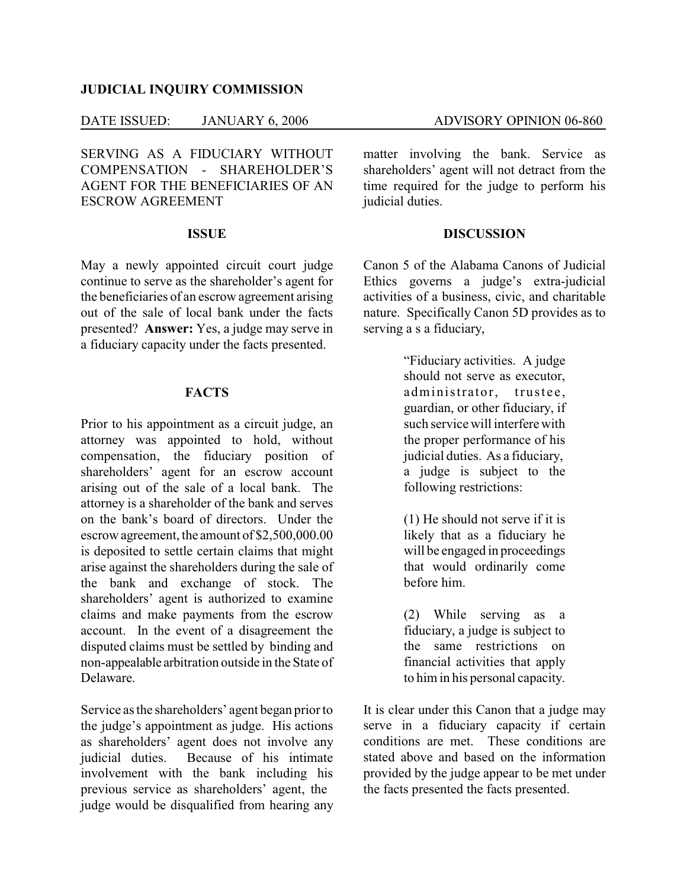# **JUDICIAL INQUIRY COMMISSION**

# DATE ISSUED: JANUARY 6, 2006 ADVISORY OPINION 06-860

SERVING AS A FIDUCIARY WITHOUT COMPENSATION - SHAREHOLDER'S AGENT FOR THE BENEFICIARIES OF AN ESCROW AGREEMENT

# **ISSUE**

May a newly appointed circuit court judge continue to serve as the shareholder's agent for the beneficiaries of an escrow agreement arising out of the sale of local bank under the facts presented? **Answer:** Yes, a judge may serve in a fiduciary capacity under the facts presented.

#### **FACTS**

Prior to his appointment as a circuit judge, an attorney was appointed to hold, without compensation, the fiduciary position of shareholders' agent for an escrow account arising out of the sale of a local bank. The attorney is a shareholder of the bank and serves on the bank's board of directors. Under the escrow agreement, the amount of \$2,500,000.00 is deposited to settle certain claims that might arise against the shareholders during the sale of the bank and exchange of stock. The shareholders' agent is authorized to examine claims and make payments from the escrow account. In the event of a disagreement the disputed claims must be settled by binding and non-appealable arbitration outside in the State of Delaware.

Service as the shareholders' agent began prior to the judge's appointment as judge. His actions as shareholders' agent does not involve any judicial duties. Because of his intimate involvement with the bank including his previous service as shareholders' agent, the judge would be disqualified from hearing any

matter involving the bank. Service as shareholders' agent will not detract from the time required for the judge to perform his judicial duties.

# **DISCUSSION**

Canon 5 of the Alabama Canons of Judicial Ethics governs a judge's extra-judicial activities of a business, civic, and charitable nature. Specifically Canon 5D provides as to serving a s a fiduciary,

> "Fiduciary activities. A judge should not serve as executor, administrator, trustee, guardian, or other fiduciary, if such service will interfere with the proper performance of his judicial duties. As a fiduciary, a judge is subject to the following restrictions:

(1) He should not serve if it is likely that as a fiduciary he will be engaged in proceedings that would ordinarily come before him.

(2) While serving as a fiduciary, a judge is subject to the same restrictions on financial activities that apply to him in his personal capacity.

It is clear under this Canon that a judge may serve in a fiduciary capacity if certain conditions are met. These conditions are stated above and based on the information provided by the judge appear to be met under the facts presented the facts presented.